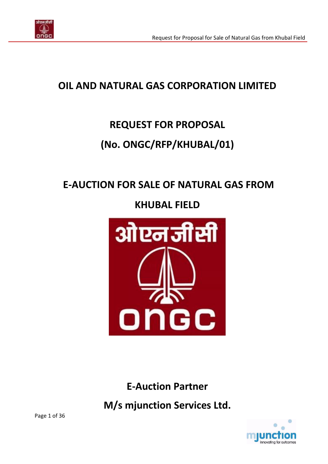

# **OIL AND NATURAL GAS CORPORATION LIMITED**

# **REQUEST FOR PROPOSAL**

# **(No. ONGC/RFP/KHUBAL/01)**

# **E-AUCTION FOR SALE OF NATURAL GAS FROM**

**KHUBAL FIELD**



**E-Auction Partner**

**M/s mjunction Services Ltd.**

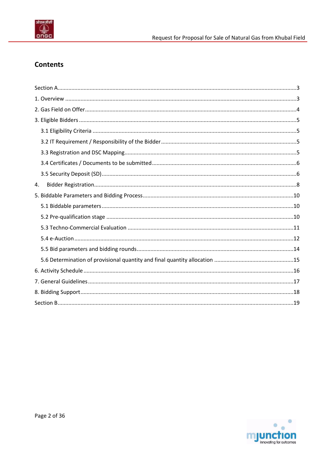

## **Contents**

| 4. |  |
|----|--|
|    |  |
|    |  |
|    |  |
|    |  |
|    |  |
|    |  |
|    |  |
|    |  |
|    |  |
|    |  |
|    |  |
|    |  |

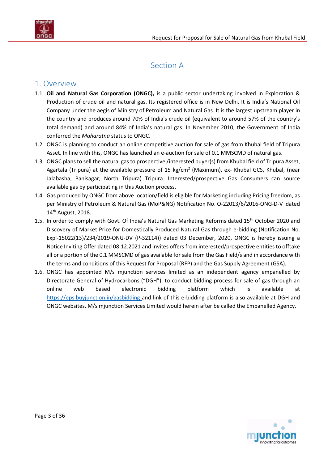

# Section A

## <span id="page-2-1"></span><span id="page-2-0"></span>1. Overview

- 1.1. **Oil and Natural Gas Corporation (ONGC),** is a public sector undertaking involved in Exploration & Production of crude oil and natural gas. Its registered office is in New Delhi. It is India's National Oil Company under the aegis of Ministry of Petroleum and Natural Gas. It is the largest upstream player in the country and produces around 70% of India's crude oil (equivalent to around 57% of the country's total demand) and around 84% of India's natural gas. In November 2010, the Government of India conferred the *Maharatna* status to ONGC.
- 1.2. ONGC is planning to conduct an online competitive auction for sale of gas from Khubal field of Tripura Asset. In line with this, ONGC has launched an e-auction for sale of 0.1 MMSCMD of natural gas.
- 1.3. ONGC plans to sell the natural gas to prospective /interested buyer(s) from Khubal field of Tripura Asset, Agartala (Tripura) at the available pressure of 15 kg/cm<sup>2</sup> (Maximum), ex- Khubal GCS, Khubal, (near Jalabasha, Panisagar, North Tripura) Tripura. Interested/prospective Gas Consumers can source available gas by participating in this Auction process.
- 1.4. Gas produced by ONGC from above location/field is eligible for Marketing including Pricing freedom, as per Ministry of Petroleum & Natural Gas (MoP&NG) Notification No. O-22013/6/2016-ONG-D-V dated 14<sup>th</sup> August, 2018.
- 1.5. In order to comply with Govt. Of India's Natural Gas Marketing Reforms dated 15<sup>th</sup> October 2020 and Discovery of Market Price for Domestically Produced Natural Gas through e-bidding (Notification No. Expl-15022(13)/234/2019-ONG-DV (P-32114)) dated 03 December, 2020, ONGC is hereby issuing a Notice Inviting Offer dated 08.12.2021 and invites offers from interested/prospective entities to offtake all or a portion of the 0.1 MMSCMD of gas available for sale from the Gas Field/s and in accordance with the terms and conditions of this Request for Proposal (RFP) and the Gas Supply Agreement (GSA).
- 1.6. ONGC has appointed M/s mjunction services limited as an independent agency empanelled by Directorate General of Hydrocarbons ("DGH"), to conduct bidding process for sale of gas through an online web based electronic bidding platform which is available at <https://eps.buyjunction.in/gasbidding> and link of this e-bidding platform is also available at DGH and ONGC websites. M/s mjunction Services Limited would herein after be called the Empanelled Agency.

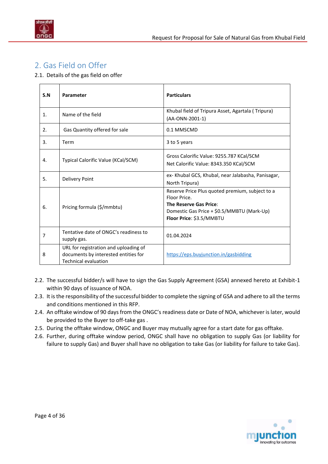

# <span id="page-3-0"></span>2. Gas Field on Offer

2.1. Details of the gas field on offer

| S.N | Parameter                                                                                                    | <b>Particulars</b>                                                                                                                                                  |
|-----|--------------------------------------------------------------------------------------------------------------|---------------------------------------------------------------------------------------------------------------------------------------------------------------------|
| 1.  | Name of the field                                                                                            | Khubal field of Tripura Asset, Agartala (Tripura)<br>(AA-ONN-2001-1)                                                                                                |
| 2.  | Gas Quantity offered for sale                                                                                | 0.1 MMSCMD                                                                                                                                                          |
| 3.  | Term                                                                                                         | 3 to 5 years                                                                                                                                                        |
| 4.  | Typical Calorific Value (KCal/SCM)                                                                           | Gross Calorific Value: 9255.787 KCal/SCM<br>Net Calorific Value: 8343.350 KCal/SCM                                                                                  |
| 5.  | <b>Delivery Point</b>                                                                                        | ex- Khubal GCS, Khubal, near Jalabasha, Panisagar,<br>North Tripura)                                                                                                |
| 6.  | Pricing formula (\$/mmbtu)                                                                                   | Reserve Price Plus quoted premium, subject to a<br>Floor Price.<br>The Reserve Gas Price:<br>Domestic Gas Price + \$0.5/MMBTU (Mark-Up)<br>Floor Price: \$3.5/MMBTU |
| 7   | Tentative date of ONGC's readiness to<br>supply gas.                                                         | 01.04.2024                                                                                                                                                          |
| 8   | URL for registration and uploading of<br>documents by interested entities for<br><b>Technical evaluation</b> | https://eps.buyjunction.in/gasbidding                                                                                                                               |

- 2.2. The successful bidder/s will have to sign the Gas Supply Agreement (GSA) annexed hereto at Exhibit-1 within 90 days of issuance of NOA.
- 2.3. It is the responsibility of the successful bidder to complete the signing of GSA and adhere to all the terms and conditions mentioned in this RFP.
- 2.4. An offtake window of 90 days from the ONGC's readiness date or Date of NOA, whichever is later, would be provided to the Buyer to off-take gas .
- 2.5. During the offtake window, ONGC and Buyer may mutually agree for a start date for gas offtake.
- 2.6. Further, during offtake window period, ONGC shall have no obligation to supply Gas (or liability for failure to supply Gas) and Buyer shall have no obligation to take Gas (or liability for failure to take Gas).

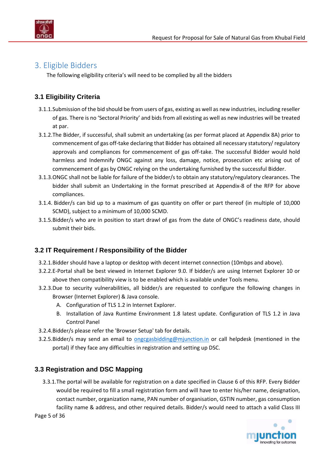

## <span id="page-4-0"></span>3. Eligible Bidders

The following eligibility criteria's will need to be complied by all the bidders

## <span id="page-4-1"></span>**3.1 Eligibility Criteria**

- 3.1.1.Submission of the bid should be from users of gas, existing as well as new industries, including reseller of gas. There is no 'Sectoral Priority' and bids from all existing as well as new industries will be treated at par.
- 3.1.2.The Bidder, if successful, shall submit an undertaking (as per format placed at [Appendix 8A\)](#page-28-0) prior to commencement of gas off-take declaring that Bidder has obtained all necessary statutory/ regulatory approvals and compliances for commencement of gas off-take. The successful Bidder would hold harmless and Indemnify ONGC against any loss, damage, notice, prosecution etc arising out of commencement of gas by ONGC relying on the undertaking furnished by the successful Bidder.
- 3.1.3.ONGC shall not be liable for failure of the bidder/s to obtain any statutory/regulatory clearances. The bidder shall submit an Undertaking in the format prescribed at [Appendix-8](#page-26-0) of the RFP for above compliances.
- 3.1.4. Bidder/s can bid up to a maximum of gas quantity on offer or part thereof (in multiple of 10,000 SCMD), subject to a minimum of 10,000 SCMD.
- 3.1.5.Bidder/s who are in position to start drawl of gas from the date of ONGC's readiness date, should submit their bids.

### <span id="page-4-2"></span>**3.2 IT Requirement / Responsibility of the Bidder**

- 3.2.1.Bidder should have a laptop or desktop with decent internet connection (10mbps and above).
- 3.2.2.E-Portal shall be best viewed in Internet Explorer 9.0. If bidder/s are using Internet Explorer 10 or above then compatibility view is to be enabled which is available under Tools menu.
- 3.2.3.Due to security vulnerabilities, all bidder/s are requested to configure the following changes in Browser (Internet Explorer) & Java console.
	- A. Configuration of TLS 1.2 in Internet Explorer.
	- B. Installation of Java Runtime Environment 1.8 latest update. Configuration of TLS 1.2 in Java Control Panel
- 3.2.4.Bidder/s please refer the 'Browser Setup' tab for details.
- 3.2.5.Bidder/s may send an email to [ongcgasbidding@mjunction.in](mailto:ongcgasbidding@mjunction.in) or call helpdesk (mentioned in the portal) if they face any difficulties in registration and setting up DSC.

### <span id="page-4-3"></span>**3.3 Registration and DSC Mapping**

3.3.1.The portal will be available for registration on a date specified in [Clause 6](#page-15-1) of this RFP. Every Bidder would be required to fill a small registration form and will have to enter his/her name, designation, contact number, organization name, PAN number of organisation, GSTIN number, gas consumption facility name & address, and other required details. Bidder/s would need to attach a valid Class III

Page 5 of 36

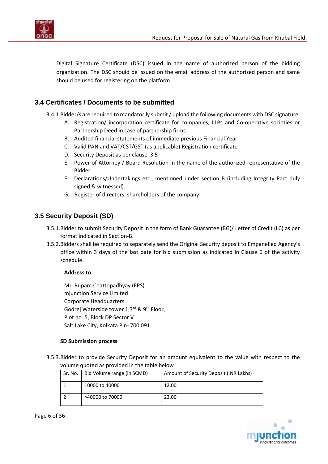

Digital Signature Certificate (DSC) issued in the name of authorized person of the bidding organization. The DSC should be issued on the email address of the authorized person and same should be used for registering on the platform.

### <span id="page-5-0"></span>**3.4 Certificates / Documents to be submitted**

3.4.1.Bidder/s are required to mandatorily submit / upload the following documents with DSC signature:

- A. Registration/ incorporation certificate for companies, LLPs and Co-operative societies or Partnership Deed in case of partnership firms.
- B. Audited financial statements of immediate previous Financial Year.
- C. Valid PAN and VAT/CST/GST (as applicable) Registration certificate
- D. Security Deposit as pe[r clause 3.5](#page-5-2)
- E. Power of Attorney / Board Resolution in the name of the authorized representative of the Bidder
- F. Declarations/Undertakings etc., mentioned under [section B](#page-18-0) (including Integrity Pact duly signed & witnessed).
- G. Register of directors, shareholders of the company

### <span id="page-5-2"></span><span id="page-5-1"></span>**3.5 Security Deposit (SD)**

- 3.5.1.Bidder to submit Security Deposit in the form of Bank Guarantee (BG)/ Letter of Credit (LC) as per format indicated i[n Section-B.](#page-18-0)
- 3.5.2.Bidders shall be required to separately send the Original Security deposit to Empanelled Agency's office within 3 days of the last date for bid submission as indicated in Clause 6 of the activity schedule.

#### **Address to**:

Mr. Rupam Chattopadhyay (EPS) mjunction Service Limited Corporate Headquarters Godrej Waterside tower 1,3<sup>rd</sup> & 9<sup>th</sup> Floor, Plot no. 5, Block DP Sector V Salt Lake City, Kolkata Pin- 700 091

#### **SD Submission process**

3.5.3.Bidder to provide Security Deposit for an amount equivalent to the value with respect to the volume quoted as provided in the table below :

| Sr. No. | Bid Volume range (in SCMD) | Amount of Security Deposit (INR Lakhs) |
|---------|----------------------------|----------------------------------------|
|         | 10000 to 40000             | 12.00                                  |
|         | >40000 to 70000            | 23.00                                  |

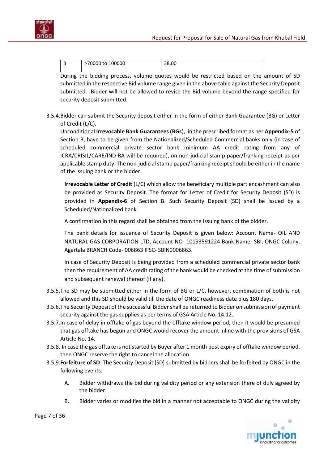

| - | 100000<br>70000 to | 88.00 |
|---|--------------------|-------|
|   |                    |       |

During the bidding process, volume quotes would be restricted based on the amount of SD submitted in the respective Bid volume range given in the above table against the Security Deposit submitted. Bidder will not be allowed to revise the Bid volume beyond the range specified for security deposit submitted.

3.5.4.Bidder can submit the Security deposit either in the form of either Bank Guarantee (BG) or Letter of Credit (L/C).

Unconditional **Irrevocable Bank Guarantees (BGs**), in the prescribed format as per **[Appendix-5](#page-21-0)** of Section B, have to be given from the Nationalized/Scheduled Commercial banks only (in case of scheduled commercial private sector bank minimum AA credit rating from any of ICRA/CRISIL/CARE/IND-RA will be required), on non-judicial stamp paper/franking receipt as per applicable stamp duty. The non-judicial stamp paper/franking receipt should be either in the name of the issuing bank or the bidder.

**Irrevocable Letter of Credit** (L/C) which allow the beneficiary multiple part encashment can also be provided as Security Deposit. The format for Letter of Credit for Security Deposit (SD) is provided in **[Appendix-6](#page-24-0)** of Section B. Such Security Deposit (SD) shall be issued by a Scheduled/Nationalized bank.

A confirmation in this regard shall be obtained from the issuing bank of the bidder.

The bank details for issuance of Security Deposit is given below: Account Name- OIL AND NATURAL GAS CORPORATION LTD, Account NO- 10193591224 Bank Name- SBI, ONGC Colony, Agartala BRANCH Code- 006863 IFSC- SBIN0006863.

In case of Security Deposit is being provided from a scheduled commercial private sector bank then the requirement of AA credit rating of the bank would be checked at the time of submission and subsequent renewal thereof (if any).

- 3.5.5.The SD may be submitted either in the form of BG or L/C, however, combination of both is not allowed and this SD should be valid till the date of ONGC readiness date plus 180 days.
- 3.5.6.The Security Deposit of the successful Bidder shall be returned to Bidder on submission of payment security against the gas supplies as per terms of GSA Article No. 14.12.
- <span id="page-6-0"></span>3.5.7.In case of delay in offtake of gas beyond the offtake window period, then it would be presumed that gas offtake has begun and ONGC would recover the amount inline with the provisions of GSA Article No. 14.
- 3.5.8. In case the gas offtake is not started by Buyer after 1 month post expiry of offtake window period, then ONGC reserve the right to cancel the allocation.
- 3.5.9.**Forfeiture of SD**: The Security Deposit (SD) submitted by bidders shall be forfeited by ONGC in the following events:
	- A. Bidder withdraws the bid during validity period or any extension there of duly agreed by the bidder.
	- B. Bidder varies or modifies the bid in a manner not acceptable to ONGC during the validity



Page 7 of 36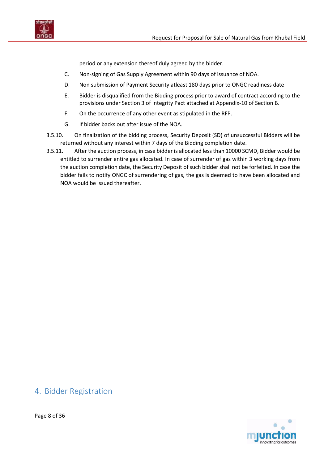



period or any extension thereof duly agreed by the bidder.

- C. Non-signing of Gas Supply Agreement within 90 days of issuance of NOA.
- D. Non submission of Payment Security atleast 180 days prior to ONGC readiness date.
- E. Bidder is disqualified from the Bidding process prior to award of contract according to the provisions under Section 3 of Integrity Pact attached at [Appendix-10](#page-30-0) of Section B.
- F. On the occurrence of any other event as stipulated in the RFP.
- G. If bidder backs out after issue of the NOA.
- 3.5.10. On finalization of the bidding process, Security Deposit (SD) of unsuccessful Bidders will be returned without any interest within 7 days of the Bidding completion date.
- 3.5.11. After the auction process, in case bidder is allocated less than 10000 SCMD, Bidder would be entitled to surrender entire gas allocated. In case of surrender of gas within 3 working days from the auction completion date, the Security Deposit of such bidder shall not be forfeited. In case the bidder fails to notify ONGC of surrendering of gas, the gas is deemed to have been allocated and NOA would be issued thereafter.

# <span id="page-7-0"></span>4. Bidder Registration

innovating for outcomes

Page 8 of 36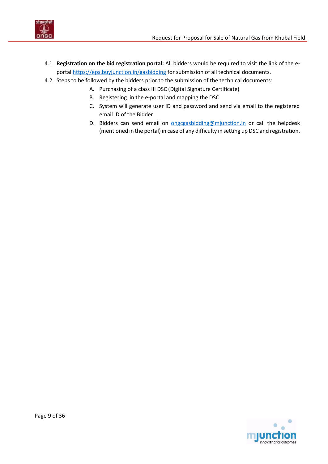

- 4.1. **Registration on the bid registration portal:** All bidders would be required to visit the link of the eportal<https://eps.buyjunction.in/gasbidding> for submission of all technical documents.
- 4.2. Steps to be followed by the bidders prior to the submission of the technical documents:
	- A. Purchasing of a class III DSC (Digital Signature Certificate)
	- B. Registering in the e-portal and mapping the DSC
	- C. System will generate user ID and password and send via email to the registered email ID of the Bidder
	- D. Bidders can send email on **ongcgasbidding@mjunction.in** or call the helpdesk (mentioned in the portal) in case of any difficulty in setting up DSC and registration.

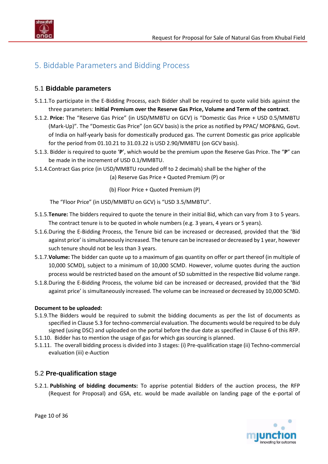

# <span id="page-9-1"></span><span id="page-9-0"></span>5. Biddable Parameters and Bidding Process

### 5.1 **Biddable parameters**

- 5.1.1.To participate in the E-Bidding Process, each Bidder shall be required to quote valid bids against the three parameters: **Initial Premium over the Reserve Gas Price, Volume and Term of the contract**.
- 5.1.2. **Price:** The "Reserve Gas Price" (in USD/MMBTU on GCV) is "Domestic Gas Price + USD 0.5/MMBTU (Mark-Up)". The "Domestic Gas Price" (on GCV basis) is the price as notified by PPAC/ MOP&NG, Govt. of India on half-yearly basis for domestically produced gas. The current Domestic gas price applicable for the period from 01.10.21 to 31.03.22 is USD 2.90/MMBTU (on GCV basis).
- 5.1.3. Bidder is required to quote '**P**', which would be the premium upon the Reserve Gas Price. The "**P**" can be made in the increment of USD 0.1/MMBTU.
- 5.1.4.Contract Gas price (in USD/MMBTU rounded off to 2 decimals) shall be the higher of the

(a) Reserve Gas Price + Quoted Premium (P) or

(b) Floor Price + Quoted Premium (P)

The "Floor Price" (in USD/MMBTU on GCV) is "USD 3.5/MMBTU".

- 5.1.5.**Tenure:** The bidders required to quote the tenure in their initial Bid, which can vary from 3 to 5 years. The contract tenure is to be quoted in whole numbers (e.g. 3 years, 4 years or 5 years).
- 5.1.6.During the E-Bidding Process, the Tenure bid can be increased or decreased, provided that the 'Bid against price' is simultaneously increased. The tenure can be increased or decreased by 1 year, however such tenure should not be less than 3 years.
- 5.1.7.**Volume:** The bidder can quote up to a maximum of gas quantity on offer or part thereof (in multiple of 10,000 SCMD), subject to a minimum of 10,000 SCMD. However, volume quotes during the auction process would be restricted based on the amount of SD submitted in the respective Bid volume range.
- 5.1.8.During the E-Bidding Process, the volume bid can be increased or decreased, provided that the 'Bid against price' is simultaneously increased. The volume can be increased or decreased by 10,000 SCMD.

### **Document to be uploaded:**

- 5.1.9.The Bidders would be required to submit the bidding documents as per the list of documents as specified in [Clause 5.3](#page-10-1) for techno-commercial evaluation. The documents would be required to be duly signed (using DSC) and uploaded on the portal before the due date as specified i[n Clause 6](#page-15-1) of this RFP.
- 5.1.10. Bidder has to mention the usage of gas for which gas sourcing is planned.
- 5.1.11. The overall bidding process is divided into 3 stages: (i) Pre-qualification stage (ii) Techno-commercial evaluation (iii) e-Auction

### <span id="page-9-2"></span>5.2 **Pre-qualification stage**

5.2.1. **Publishing of bidding documents:** To apprise potential Bidders of the auction process, the RFP (Request for Proposal) and GSA, etc. would be made available on landing page of the e-portal of



Page 10 of 36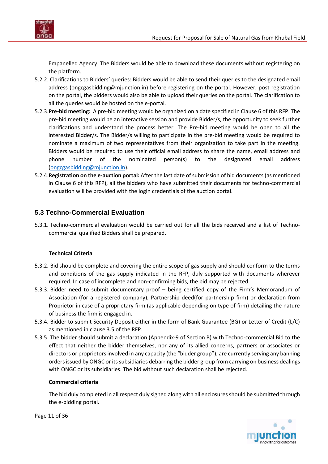

Empanelled Agency. The Bidders would be able to download these documents without registering on the platform.

- 5.2.2. Clarifications to Bidders' queries: Bidders would be able to send their queries to the designated email address (ongcgasbidding@mjunction.in) before registering on the portal. However, post registration on the portal, the bidders would also be able to upload their queries on the portal. The clarification to all the queries would be hosted on the e-portal.
- 5.2.3.**Pre-bid meeting:** A pre-bid meeting would be organized on a date specified i[n Clause 6](#page-15-1) of this RFP. The pre-bid meeting would be an interactive session and provide Bidder/s, the opportunity to seek further clarifications and understand the process better. The Pre-bid meeting would be open to all the interested Bidder/s. The Bidder/s willing to participate in the pre-bid meeting would be required to nominate a maximum of two representatives from their organization to take part in the meeting. Bidders would be required to use their official email address to share the name, email address and phone number of the nominated person(s) to the designated email address [\(ongcgasbidding@mjunction.in\)](mailto:ongcgasbidding@mjunction.in).
- 5.2.4.**Registration on the e-auction portal:** After the last date of submission of bid documents (as mentioned in [Clause 6](#page-15-1) of this RFP), all the bidders who have submitted their documents for techno-commercial evaluation will be provided with the login credentials of the auction portal.

### <span id="page-10-1"></span><span id="page-10-0"></span>**5.3 Techno-Commercial Evaluation**

5.3.1. Techno-commercial evaluation would be carried out for all the bids received and a list of Technocommercial qualified Bidders shall be prepared.

#### **Technical Criteria**

- 5.3.2. Bid should be complete and covering the entire scope of gas supply and should conform to the terms and conditions of the gas supply indicated in the RFP, duly supported with documents wherever required. In case of incomplete and non-confirming bids, the bid may be rejected.
- 5.3.3. Bidder need to submit documentary proof being certified copy of the Firm's Memorandum of Association (for a registered company), Partnership deed(for partnership firm) or declaration from Proprietor in case of a proprietary firm (as applicable depending on type of firm) detailing the nature of business the firm is engaged in.
- 5.3.4. Bidder to submit Security Deposit either in the form of Bank Guarantee (BG) or Letter of Credit (L/C) as mentioned in [clause 3.5](#page-5-2) of the RFP.
- 5.3.5. The bidder should submit a declaration [\(Appendix-9](#page-29-0) of Section B) with Techno-commercial Bid to the effect that neither the bidder themselves, nor any of its allied concerns, partners or associates or directors or proprietors involved in any capacity (the "bidder group"), are currently serving any banning orders issued by ONGC or its subsidiaries debarring the bidder group from carrying on business dealings with ONGC or its subsidiaries. The bid without such declaration shall be rejected.

#### **Commercial criteria**

The bid duly completed in all respect duly signed along with all enclosures should be submitted through the e-bidding portal.



Page 11 of 36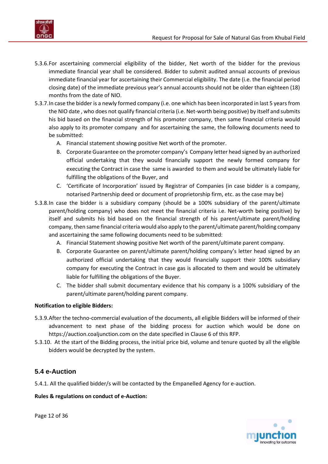

- 5.3.6.For ascertaining commercial eligibility of the bidder, Net worth of the bidder for the previous immediate financial year shall be considered. Bidder to submit audited annual accounts of previous immediate financial year for ascertaining their Commercial eligibility. The date (i.e. the financial period closing date) of the immediate previous year's annual accounts should not be older than eighteen (18) months from the date of NIO.
- 5.3.7.In case the bidder is a newly formed company (i.e. one which has been incorporated in last 5 years from the NIO date , who does not qualify financial criteria (i.e. Net-worth being positive) by itself and submits his bid based on the financial strength of his promoter company, then same financial criteria would also apply to its promoter company and for ascertaining the same, the following documents need to be submitted:
	- A. Financial statement showing positive Net worth of the promoter.
	- B. Corporate Guarantee on the promoter company's Company letter head signed by an authorized official undertaking that they would financially support the newly formed company for executing the Contract in case the same is awarded to them and would be ultimately liable for fulfilling the obligations of the Buyer, and
	- C. 'Certificate of Incorporation' issued by Registrar of Companies (in case bidder is a company, notarised Partnership deed or document of proprietorship firm, etc. as the case may be)
- 5.3.8.In case the bidder is a subsidiary company (should be a 100% subsidiary of the parent/ultimate parent/holding company) who does not meet the financial criteria i.e. Net-worth being positive) by itself and submits his bid based on the financial strength of his parent/ultimate parent/holding company, then same financial criteria would also apply to the parent/ultimate parent/holding company and ascertaining the same following documents need to be submitted:
	- A. Financial Statement showing positive Net worth of the parent/ultimate parent company.
	- B. Corporate Guarantee on parent/ultimate parent/holding company's letter head signed by an authorized official undertaking that they would financially support their 100% subsidiary company for executing the Contract in case gas is allocated to them and would be ultimately liable for fulfilling the obligations of the Buyer.
	- C. The bidder shall submit documentary evidence that his company is a 100% subsidiary of the parent/ultimate parent/holding parent company.

#### **Notification to eligible Bidders:**

- 5.3.9.After the techno-commercial evaluation of the documents, all eligible Bidders will be informed of their advancement to next phase of the bidding process for auction which would be done on [https://auction.coaljunction.com](https://auction.coaljunction.com/) on the date specified in [Clause 6](#page-15-1) of this RFP.
- 5.3.10. At the start of the Bidding process, the initial price bid, volume and tenure quoted by all the eligible bidders would be decrypted by the system.

### <span id="page-11-0"></span>**5.4 e-Auction**

5.4.1. All the qualified bidder/s will be contacted by the Empanelled Agency for e-auction.

#### **Rules & regulations on conduct of e-Auction:**

Page 12 of 36

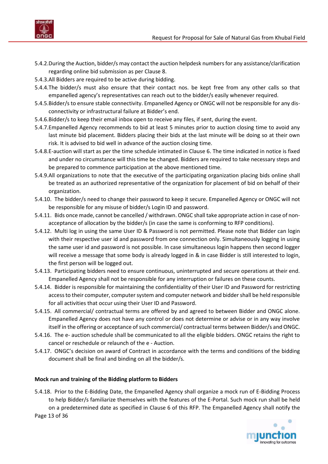

- 5.4.2.During the Auction, bidder/s may contact the auction helpdesk numbers for any assistance/clarification regarding online bid submission as pe[r Clause 8.](#page-17-1)
- 5.4.3.All Bidders are required to be active during bidding.
- 5.4.4.The bidder/s must also ensure that their contact nos. be kept free from any other calls so that empanelled agency's representatives can reach out to the bidder/s easily whenever required.
- 5.4.5.Bidder/s to ensure stable connectivity. Empanelled Agency or ONGC will not be responsible for any disconnectivity or infrastructural failure at Bidder's end.
- 5.4.6.Bidder/s to keep their email inbox open to receive any files, if sent, during the event.
- 5.4.7.Empanelled Agency recommends to bid at least 5 minutes prior to auction closing time to avoid any last minute bid placement. Bidders placing their bids at the last minute will be doing so at their own risk. It is advised to bid well in advance of the auction closing time.
- 5.4.8.E-auction will start as per the time schedule intimated in [Clause 6.](#page-15-1) The time indicated in notice is fixed and under no circumstance will this time be changed. Bidders are required to take necessary steps and be prepared to commence participation at the above mentioned time.
- 5.4.9.All organizations to note that the executive of the participating organization placing bids online shall be treated as an authorized representative of the organization for placement of bid on behalf of their organization.
- 5.4.10. The bidder/s need to change their password to keep it secure. Empanelled Agency or ONGC will not be responsible for any misuse of bidder/s Login ID and password.
- 5.4.11. Bids once made, cannot be cancelled / withdrawn. ONGC shall take appropriate action in case of nonacceptance of allocation by the bidder/s (in case the same is conforming to RFP conditions).
- 5.4.12. Multi log in using the same User ID & Password is not permitted. Please note that Bidder can login with their respective user id and password from one connection only. Simultaneously logging in using the same user id and password is not possible. In case simultaneous login happens then second logger will receive a message that some body is already logged in & in case Bidder is still interested to login, the first person will be logged out.
- 5.4.13. Participating bidders need to ensure continuous, uninterrupted and secure operations at their end. Empanelled Agency shall not be responsible for any interruption or failures on these counts.
- 5.4.14. Bidder is responsible for maintaining the confidentiality of their User ID and Password for restricting access to their computer, computer system and computer network and bidder shall be held responsible for all activities that occur using their User ID and Password.
- 5.4.15. All commercial/ contractual terms are offered by and agreed to between Bidder and ONGC alone. Empanelled Agency does not have any control or does not determine or advise or in any way involve itself in the offering or acceptance of such commercial/ contractual terms between Bidder/s and ONGC.
- 5.4.16. The e- auction schedule shall be communicated to all the eligible bidders. ONGC retains the right to cancel or reschedule or relaunch of the e - Auction.
- 5.4.17. ONGC's decision on award of Contract in accordance with the terms and conditions of the bidding document shall be final and binding on all the bidder/s.

#### **Mock run and training of the Bidding platform to Bidders**

Page 13 of 36 5.4.18. Prior to the E-Bidding Date, the Empanelled Agency shall organize a mock run of E-Bidding Process to help Bidder/s familiarize themselves with the features of the E-Portal. Such mock run shall be held on a predetermined date as specified in [Clause 6](#page-15-1) of this RFP. The Empanelled Agency shall notify the

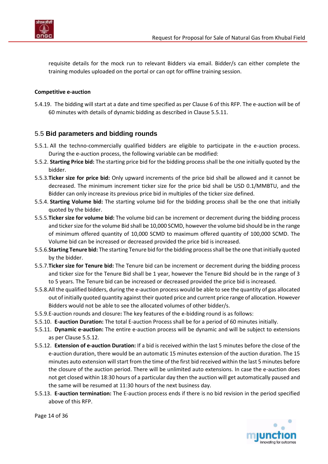

requisite details for the mock run to relevant Bidders via email. Bidder/s can either complete the training modules uploaded on the portal or can opt for offline training session.

#### **Competitive e-auction**

5.4.19. The bidding will start at a date and time specified as per [Clause 6](#page-15-1) of this RFP. The e-auction will be of 60 minutes with details of dynamic bidding as described i[n Clause](#page-13-1) 5.5.11.

#### <span id="page-13-0"></span>5.5 **Bid parameters and bidding rounds**

- 5.5.1. All the techno-commercially qualified bidders are eligible to participate in the e-auction process. During the e-auction process, the following variable can be modified:
- 5.5.2. **Starting Price bid:** The starting price bid for the bidding process shall be the one initially quoted by the bidder.
- 5.5.3.**Ticker size for price bid:** Only upward increments of the price bid shall be allowed and it cannot be decreased. The minimum increment ticker size for the price bid shall be USD 0.1/MMBTU, and the Bidder can only increase its previous price bid in multiples of the ticker size defined.
- 5.5.4. **Starting Volume bid:** The starting volume bid for the bidding process shall be the one that initially quoted by the bidder.
- 5.5.5.**Ticker size for volume bid:** The volume bid can be increment or decrement during the bidding process and ticker size for the volume Bid shall be 10,000 SCMD, however the volume bid should be in the range of minimum offered quantity of 10,000 SCMD to maximum offered quantity of 100,000 SCMD. The Volume bid can be increased or decreased provided the price bid is increased.
- 5.5.6.**Starting Tenure bid:** The starting Tenure bid for the bidding process shall be the one that initially quoted by the bidder.
- 5.5.7.**Ticker size for Tenure bid:** The Tenure bid can be increment or decrement during the bidding process and ticker size for the Tenure Bid shall be 1 year, however the Tenure Bid should be in the range of 3 to 5 years. The Tenure bid can be increased or decreased provided the price bid is increased.
- 5.5.8.All the qualified bidders, during the e-auction process would be able to see the quantity of gas allocated out of initially quoted quantity against their quoted price and current price range of allocation. However Bidders would not be able to see the allocated volumes of other bidder/s.
- 5.5.9.E-auction rounds and closure**:** The key features of the e-bidding round is as follows:
- 5.5.10. **E-auction Duration:** The total E-auction Process shall be for a period of 60 minutes initially.
- <span id="page-13-1"></span>5.5.11. **Dynamic e-auction:** The entire e-auction process will be dynamic and will be subject to extensions as per [Clause 5.5.12.](#page-13-2)
- <span id="page-13-2"></span>5.5.12. **Extension of e-auction Duration:** If a bid is received within the last 5 minutes before the close of the e-auction duration, there would be an automatic 15 minutes extension of the auction duration. The 15 minutes auto extension will start from the time of the first bid received within the last 5 minutes before the closure of the auction period. There will be unlimited auto extensions. In case the e-auction does not get closed within 18:30 hours of a particular day then the auction will get automatically paused and the same will be resumed at 11:30 hours of the next business day.
- <span id="page-13-3"></span>5.5.13. **E-auction termination:** The E-auction process ends if there is no bid revision in the period specified above of this RFP.



Page 14 of 36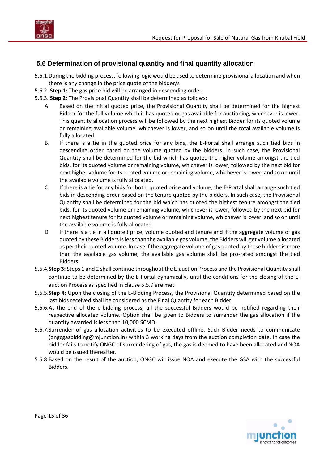

### <span id="page-14-0"></span>**5.6 Determination of provisional quantity and final quantity allocation**

- 5.6.1.During the bidding process, following logic would be used to determine provisional allocation and when there is any change in the price quote of the bidder/s
- 5.6.2. **Step 1:** The gas price bid will be arranged in descending order.
- 5.6.3. **Step 2:** The Provisional Quantity shall be determined as follows:
	- A. Based on the initial quoted price, the Provisional Quantity shall be determined for the highest Bidder for the full volume which it has quoted or gas available for auctioning, whichever is lower. This quantity allocation process will be followed by the next highest Bidder for its quoted volume or remaining available volume, whichever is lower, and so on until the total available volume is fully allocated.
	- B. If there is a tie in the quoted price for any bids, the E-Portal shall arrange such tied bids in descending order based on the volume quoted by the bidders. In such case, the Provisional Quantity shall be determined for the bid which has quoted the higher volume amongst the tied bids, for its quoted volume or remaining volume, whichever is lower, followed by the next bid for next higher volume for its quoted volume or remaining volume, whichever is lower, and so on until the available volume is fully allocated.
	- C. If there is a tie for any bids for both, quoted price and volume, the E-Portal shall arrange such tied bids in descending order based on the tenure quoted by the bidders. In such case, the Provisional Quantity shall be determined for the bid which has quoted the highest tenure amongst the tied bids, for its quoted volume or remaining volume, whichever is lower, followed by the next bid for next highest tenure for its quoted volume or remaining volume, whichever is lower, and so on until the available volume is fully allocated.
	- D. If there is a tie in all quoted price, volume quoted and tenure and if the aggregate volume of gas quoted by these Bidders is less than the available gas volume, the Bidders will get volume allocated as per their quoted volume. In case if the aggregate volume of gas quoted by these bidders is more than the available gas volume, the available gas volume shall be pro-rated amongst the tied Bidders.
- 5.6.4.**Step 3:** Steps 1 and 2 shall continue throughout the E-auction Process and the Provisional Quantity shall continue to be determined by the E-Portal dynamically, until the conditions for the closing of the Eauction Process as specified in [clause 5.5.9](#page-13-3) are met.
- 5.6.5.**Step 4:** Upon the closing of the E-Bidding Process, the Provisional Quantity determined based on the last bids received shall be considered as the Final Quantity for each Bidder.
- 5.6.6.At the end of the e-bidding process, all the successful Bidders would be notified regarding their respective allocated volume. Option shall be given to Bidders to surrender the gas allocation if the quantity awarded is less than 10,000 SCMD.
- 5.6.7.Surrender of gas allocation activities to be executed offline. Such Bidder needs to communicate [\(ongcgasbidding@mjunction.in\)](mailto:ongcgasbidding@mjunction.in) within 3 working days from the auction completion date. In case the bidder fails to notify ONGC of surrendering of gas, the gas is deemed to have been allocated and NOA would be issued thereafter.
- 5.6.8.Based on the result of the auction, ONGC will issue NOA and execute the GSA with the successful Bidders.

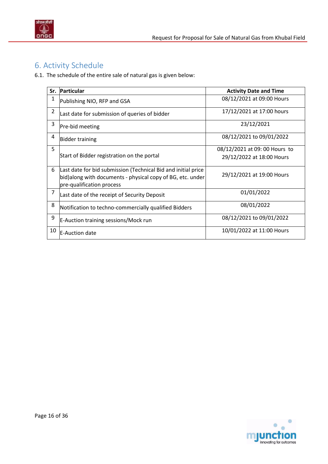

# <span id="page-15-1"></span><span id="page-15-0"></span>6. Activity Schedule

6.1. The schedule of the entire sale of natural gas is given below:

| Sr.            | Particular                                                                                                                                                | <b>Activity Date and Time</b> |
|----------------|-----------------------------------------------------------------------------------------------------------------------------------------------------------|-------------------------------|
| 1              | Publishing NIO, RFP and GSA                                                                                                                               | 08/12/2021 at 09:00 Hours     |
| $\overline{2}$ | Last date for submission of queries of bidder                                                                                                             | 17/12/2021 at 17:00 hours     |
| 3              | Pre-bid meeting                                                                                                                                           | 23/12/2021                    |
| 4              | <b>Bidder training</b>                                                                                                                                    | 08/12/2021 to 09/01/2022      |
| 5              |                                                                                                                                                           | 08/12/2021 at 09: 00 Hours to |
|                | Start of Bidder registration on the portal                                                                                                                | 29/12/2022 at 18:00 Hours     |
| 6              | Last date for bid submission (Technical Bid and initial price<br>bid) along with documents - physical copy of BG, etc. under<br>pre-qualification process | 29/12/2021 at 19:00 Hours     |
| 7              | Last date of the receipt of Security Deposit                                                                                                              | 01/01/2022                    |
| 8              | Notification to techno-commercially qualified Bidders                                                                                                     | 08/01/2022                    |
| 9              | E-Auction training sessions/Mock run                                                                                                                      | 08/12/2021 to 09/01/2022      |
| 10             | <b>IE-Auction date</b>                                                                                                                                    | 10/01/2022 at 11:00 Hours     |

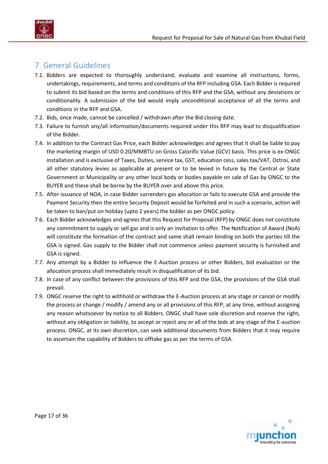

# <span id="page-16-0"></span>7. General Guidelines

- 7.1. Bidders are expected to thoroughly understand, evaluate and examine all instructions, forms, undertakings, requirements, and terms and conditions of the RFP including GSA. Each Bidder is required to submit its bid based on the terms and conditions of this RFP and the GSA, without any deviations or conditionality. A submission of the bid would imply unconditional acceptance of all the terms and conditions in the RFP and GSA.
- 7.2. Bids, once made, cannot be cancelled / withdrawn after the Bid closing date.
- 7.3. Failure to furnish any/all information/documents required under this RFP may lead to disqualification of the Bidder.
- 7.4. In addition to the Contract Gas Price, each Bidder acknowledges and agrees that it shall be liable to pay the marketing margin of USD 0.20/MMBTU on Gross Calorific Value (GCV) basis. This price is ex-ONGC installation and is exclusive of Taxes, Duties, service tax, GST, education cess, sales tax/VAT, Octroi, and all other statutory levies as applicable at present or to be levied in future by the Central or State Government or Municipality or any other local body or bodies payable on sale of Gas by ONGC to the BUYER and these shall be borne by the BUYER over and above this price.
- 7.5. After issuance of NOA, in case Bidder surrenders gas allocation or fails to execute GSA and provide the Payment Security then the entire Security Deposit would be forfeited and in such a scenario, action will be taken to ban/put on holiday (upto 2 years) the bidder as per ONGC policy.
- 7.6. Each Bidder acknowledges and agrees that this Request for Proposal (RFP) by ONGC does not constitute any commitment to supply or sell gas and is only an invitation to offer. The Notification of Award (NoA) will constitute the formation of the contract and same shall remain binding on both the parties till the GSA is signed. Gas supply to the Bidder shall not commence unless payment security is furnished and GSA is signed.
- 7.7. Any attempt by a Bidder to influence the E-Auction process or other Bidders, bid evaluation or the allocation process shall immediately result in disqualification of its bid.
- 7.8. In case of any conflict between the provisions of this RFP and the GSA, the provisions of the GSA shall prevail.
- 7.9. ONGC reserve the right to withhold or withdraw the E-Auction process at any stage or cancel or modify the process or change / modify / amend any or all provisions of this RFP, at any time, without assigning any reason whatsoever by notice to all Bidders. ONGC shall have sole discretion and reserve the right, without any obligation or liability, to accept or reject any or all of the bids at any stage of the E-auction process. ONGC, at its own discretion, can seek additional documents from Bidders that it may require to ascertain the capability of Bidders to offtake gas as per the terms of GSA.

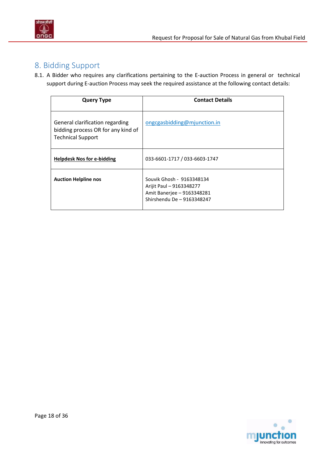

# <span id="page-17-1"></span><span id="page-17-0"></span>8. Bidding Support

8.1. A Bidder who requires any clarifications pertaining to the E-auction Process in general or technical support during E-auction Process may seek the required assistance at the following contact details:

| <b>Query Type</b>                                                                                 | <b>Contact Details</b>                                                                                            |
|---------------------------------------------------------------------------------------------------|-------------------------------------------------------------------------------------------------------------------|
| General clarification regarding<br>bidding process OR for any kind of<br><b>Technical Support</b> | ongcgasbidding@mjunction.in                                                                                       |
| <b>Helpdesk Nos for e-bidding</b>                                                                 | 033-6601-1717 / 033-6603-1747                                                                                     |
| <b>Auction Helpline nos</b>                                                                       | Souvik Ghosh - 9163348134<br>Arijit Paul - 9163348277<br>Amit Banerjee - 9163348281<br>Shirshendu De - 9163348247 |

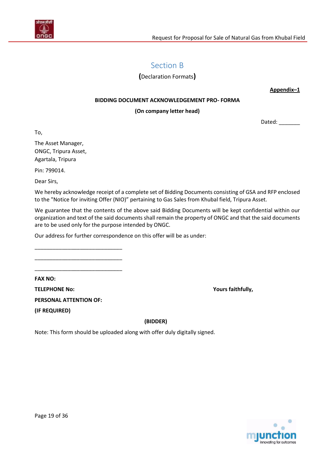<span id="page-18-0"></span>

# Section B

**(**Declaration Formats**)**

**Appendix–1** 

#### **BIDDING DOCUMENT ACKNOWLEDGEMENT PRO- FORMA**

#### **(On company letter head)**

Dated: \_\_\_\_\_\_\_\_

To,

The Asset Manager, ONGC, Tripura Asset, Agartala, Tripura

Pin: 799014.

Dear Sirs,

We hereby acknowledge receipt of a complete set of Bidding Documents consisting of GSA and RFP enclosed to the "Notice for inviting Offer (NIO)" pertaining to Gas Sales from Khubal field, Tripura Asset.

We guarantee that the contents of the above said Bidding Documents will be kept confidential within our organization and text of the said documents shall remain the property of ONGC and that the said documents are to be used only for the purpose intended by ONGC.

Our address for further correspondence on this offer will be as under:

**FAX NO:**

**TELEPHONE No: Yours faithfully,**

**PERSONAL ATTENTION OF:**

\_\_\_\_\_\_\_\_\_\_\_\_\_\_\_\_\_\_\_\_\_\_\_\_\_\_\_\_\_ \_\_\_\_\_\_\_\_\_\_\_\_\_\_\_\_\_\_\_\_\_\_\_\_\_\_\_\_\_ \_\_\_\_\_\_\_\_\_\_\_\_\_\_\_\_\_\_\_\_\_\_\_\_\_\_\_\_\_

**(IF REQUIRED)**

 **(BIDDER)**

Note: This form should be uploaded along with offer duly digitally signed.

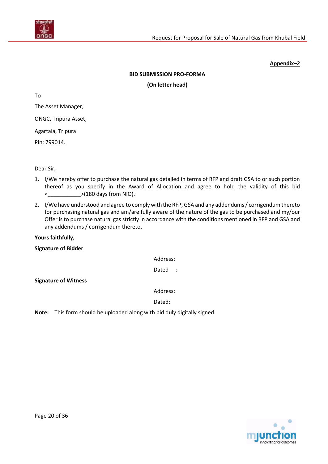

#### **BID SUBMISSION PRO-FORMA**

**(On letter head)**

To

The Asset Manager,

ONGC, Tripura Asset,

Agartala, Tripura

Pin: 799014.

Dear Sir,

- 1. I/We hereby offer to purchase the natural gas detailed in terms of RFP and draft GSA to or such portion thereof as you specify in the Award of Allocation and agree to hold the validity of this bid <\_\_\_\_\_\_\_\_\_\_\_>(180 days from NIO).
- 2. I/We have understood and agree to comply with the RFP, GSA and any addendums / corrigendum thereto for purchasing natural gas and am/are fully aware of the nature of the gas to be purchased and my/our Offer is to purchase natural gas strictly in accordance with the conditions mentioned in RFP and GSA and any addendums / corrigendum thereto.

**Yours faithfully,** 

**Signature of Bidder** 

Address:

Dated :

**Signature of Witness**

Address:

Dated:

**Note:** This form should be uploaded along with bid duly digitally signed.

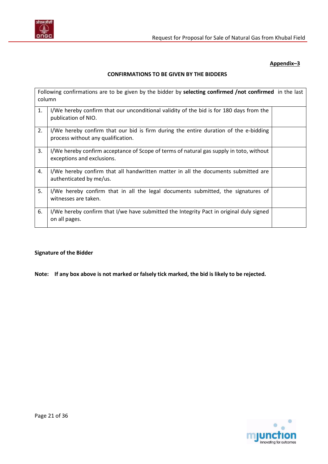

#### **CONFIRMATIONS TO BE GIVEN BY THE BIDDERS**

| column | Following confirmations are to be given by the bidder by selecting confirmed /not confirmed in the last                    |  |
|--------|----------------------------------------------------------------------------------------------------------------------------|--|
| 1.     | I/We hereby confirm that our unconditional validity of the bid is for 180 days from the<br>publication of NIO.             |  |
| 2.     | I/We hereby confirm that our bid is firm during the entire duration of the e-bidding<br>process without any qualification. |  |
| 3.     | I/We hereby confirm acceptance of Scope of terms of natural gas supply in toto, without<br>exceptions and exclusions.      |  |
| 4.     | I/We hereby confirm that all handwritten matter in all the documents submitted are<br>authenticated by me/us.              |  |
| 5.     | I/We hereby confirm that in all the legal documents submitted, the signatures of<br>witnesses are taken.                   |  |
| 6.     | I/We hereby confirm that I/we have submitted the Integrity Pact in original duly signed<br>on all pages.                   |  |

#### **Signature of the Bidder**

**Note: If any box above is not marked or falsely tick marked, the bid is likely to be rejected.**

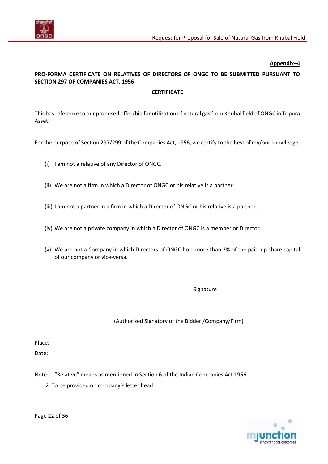

### **PRO-FORMA CERTIFICATE ON RELATIVES OF DIRECTORS OF ONGC TO BE SUBMITTED PURSUANT TO SECTION 297 OF COMPANIES ACT, 1956**

#### **CERTIFICATE**

This has reference to our proposed offer/bid for utilization of natural gas from Khubal field of ONGC in Tripura Asset.

For the purpose of Section 297/299 of the Companies Act, 1956, we certify to the best of my/our knowledge.

- (i) I am not a relative of any Director of ONGC.
- (ii) We are not a firm in which a Director of ONGC or his relative is a partner.
- (iii) I am not a partner in a firm in which a Director of ONGC or his relative is a partner.
- (iv) We are not a private company in which a Director of ONGC is a member or Director.
- (v) We are not a Company in which Directors of ONGC hold more than 2% of the paid-up share capital of our company or vice-versa.

Signature

(Authorized Signatory of the Bidder /Company/Firm)

Place:

Date:

Note:1. "Relative" means as mentioned in Section 6 of the Indian Companies Act 1956.

<span id="page-21-0"></span>2. To be provided on company's letter head.



Page 22 of 36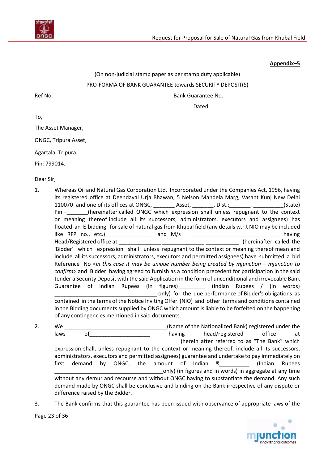

## (On non-judicial stamp paper as per stamp duty applicable) PRO-FORMA OF BANK GUARANTEE towards SECURITY DEPOSIT(S) Ref No. **Bank Guarantee No. Bank Guarantee No.**

Dated

To,

The Asset Manager,

ONGC, Tripura Asset,

Agartala, Tripura

Pin: 799014.

Dear Sir,

- 1. Whereas Oil and Natural Gas Corporation Ltd. Incorporated under the Companies Act, 1956, having its registered office at Deendayal Urja Bhawan, 5 Nelson Mandela Marg, Vasant Kunj New Delhi 110070 and one of its offices at ONGC, \_\_\_\_\_\_\_ Asset, \_\_\_\_\_\_, Dist.: \_\_\_\_\_\_\_, \_\_\_\_\_\_\_\_\_(State) Pin – \_\_\_\_\_\_\_(hereinafter called ONGC' which expression shall unless repugnant to the context or meaning thereof include all its successors, administrators, executors and assignees) has floated an E-bidding for sale of natural gas from Khubal field (any details w.r.t NIO may be included like RFP no., etc.) and M/s and M/s and M/s having Head/Registered office at \_\_\_\_\_\_\_\_\_\_\_\_\_\_ \_\_\_\_\_\_\_\_\_\_\_\_\_\_ \_\_\_\_\_\_\_\_\_\_\_ (hereinafter called the 'Bidder' which expression shall unless repugnant to the context or meaning thereof mean and include all its successors, administrators, executors and permitted assignees) have submitted a bid Reference No <*in this case it may be unique number being created by mjunction – mjunction to confirm*> and Bidder having agreed to furnish as a condition precedent for participation in the said tender a Security Deposit with the said Application in the form of unconditional and irrevocable Bank Guarantee of Indian Rupees (in figures) [11] (Indian Rupees / (in words) only) for the due performance of Bidder's obligations as contained in the terms of the Notice Inviting Offer (NIO) and other terms and conditions contained in the Bidding documents supplied by ONGC which amount is liable to be forfeited on the happening of any contingencies mentioned in said documents.
- 2. We We **We all a construct the COV** (Name of the Nationalized Bank) registered under the laws of the contract of the having head/registered office at (herein after referred to as "The Bank" which expression shall, unless repugnant to the context or meaning thereof, include all its successors, administrators, executors and permitted assignees) guarantee and undertake to pay immediately on first demand by ONGC, the amount of Indian ₹\_\_\_\_\_\_\_\_\_\_ (Indian Rupees only) (in figures and in words) in aggregate at any time without any demur and recourse and without ONGC having to substantiate the demand. Any such demand made by ONGC shall be conclusive and binding on the Bank irrespective of any dispute or difference raised by the Bidder.
- 3. The Bank confirms that this guarantee has been issued with observance of appropriate laws of the

Page 23 of 36

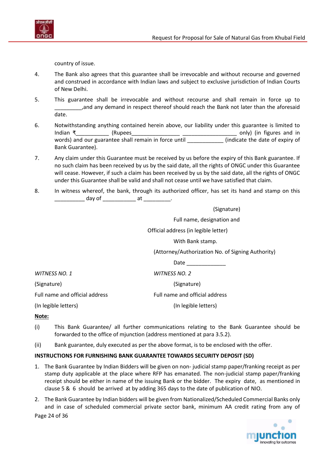

country of issue.

- 4. The Bank also agrees that this guarantee shall be irrevocable and without recourse and governed and construed in accordance with Indian laws and subject to exclusive jurisdiction of Indian Courts of New Delhi.
- 5. This guarantee shall be irrevocable and without recourse and shall remain in force up to \_\_\_\_\_\_\_\_\_,and any demand in respect thereof should reach the Bank not later than the aforesaid date.
- 6. Notwithstanding anything contained herein above, our liability under this guarantee is limited to Indian ₹\_\_\_\_\_\_\_\_\_\_\_ (Rupees\_\_\_\_\_\_\_\_\_\_\_\_\_\_\_\_ \_\_\_\_\_\_\_\_\_\_\_\_\_\_\_\_\_\_ only) (in figures and in words) and our guarantee shall remain in force until \_\_\_\_\_\_\_\_\_\_\_\_\_\_(indicate the date of expiry of Bank Guarantee).
- 7. Any claim under this Guarantee must be received by us before the expiry of this Bank guarantee. If no such claim has been received by us by the said date, all the rights of ONGC under this Guarantee will cease. However, if such a claim has been received by us by the said date, all the rights of ONGC under this Guarantee shall be valid and shall not cease until we have satisfied that claim.
- 8. In witness whereof, the bank, through its authorized officer, has set its hand and stamp on this \_\_\_\_\_\_\_\_\_\_ day of \_\_\_\_\_\_\_\_\_\_\_\_\_ at \_\_\_\_\_\_\_\_\_\_\_.

|                                | (Signature)                                       |
|--------------------------------|---------------------------------------------------|
|                                | Full name, designation and                        |
|                                | Official address (in legible letter)              |
|                                | With Bank stamp.                                  |
|                                | (Attorney/Authorization No. of Signing Authority) |
|                                | Date                                              |
| WITNESS NO. 1                  | <b>WITNESS NO. 2</b>                              |
| (Signature)                    | (Signature)                                       |
| Full name and official address | Full name and official address                    |
| (In legible letters)           | (In legible letters)                              |

#### **Note:**

- (i) This Bank Guarantee/ all further communications relating to the Bank Guarantee should be forwarded to the office of mjunction (address mentioned at para 3.5.2).
- (ii) Bank guarantee, duly executed as per the above format, is to be enclosed with the offer.

#### **INSTRUCTIONS FOR FURNISHING BANK GUARANTEE TOWARDS SECURITY DEPOSIT (SD)**

- 1. The Bank Guarantee by Indian Bidders will be given on non- judicial stamp paper/franking receipt as per stamp duty applicable at the place where RFP has emanated. The non-judicial stamp paper/franking receipt should be either in name of the issuing Bank or the bidder. The expiry date, as mentioned in clause 5 & 6 should be arrived at by adding 365 days to the date of publication of NIO.
- 2. The Bank Guarantee by Indian bidders will be given from Nationalized/Scheduled Commercial Banks only and in case of scheduled commercial private sector bank, minimum AA credit rating from any of

Page 24 of 36

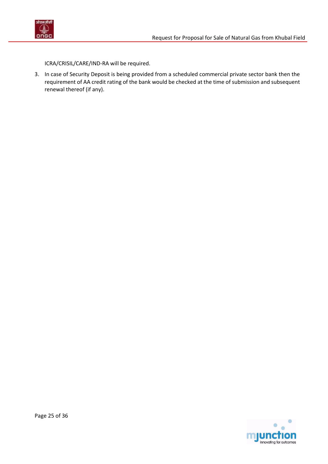



ICRA/CRISIL/CARE/IND-RA will be required.

<span id="page-24-0"></span>3. In case of Security Deposit is being provided from a scheduled commercial private sector bank then the requirement of AA credit rating of the bank would be checked at the time of submission and subsequent renewal thereof (if any).

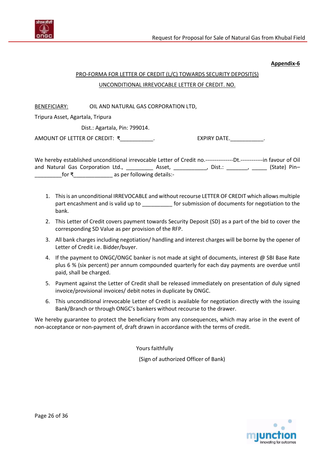

#### **Appendix-6**

# PRO-FORMA FOR LETTER OF CREDIT (L/C) TOWARDS SECURITY DEPOSIT(S) UNCONDITIONAL IRREVOCABLE LETTER OF CREDIT. NO.

BENEFICIARY: OIL AND NATURAL GAS CORPORATION LTD,

Tripura Asset, Agartala, Tripura

Dist.: Agartala, Pin: 799014.

AMOUNT OF LETTER OF CREDIT: ₹\_\_\_\_\_\_\_\_\_\_\_. EXPIRY DATE. \_\_\_\_\_\_\_\_\_\_\_\_.

We hereby established unconditional irrevocable Letter of Credit no.----------------Dt.-------------in favour of Oil and Natural Gas Corporation Ltd., \_\_\_\_\_\_\_\_\_\_\_ Asset, \_\_\_\_\_\_\_\_\_\_\_\_, Dist.: \_\_\_\_\_\_\_, \_\_\_\_\_\_ (State) Pin-\_\_\_\_\_\_\_\_\_for ₹\_\_\_\_\_\_\_\_\_\_\_\_\_ as per following details:-

- 1. This is an unconditional IRREVOCABLE and without recourse LETTER OF CREDIT which allows multiple part encashment and is valid up to be a get of submission of documents for negotiation to the bank.
- 2. This Letter of Credit covers payment towards Security Deposit (SD) as a part of the bid to cover the corresponding SD Value as per provision of the RFP.
- 3. All bank charges including negotiation/ handling and interest charges will be borne by the opener of Letter of Credit i.e. Bidder/buyer.
- 4. If the payment to ONGC/ONGC banker is not made at sight of documents, interest @ SBI Base Rate plus 6 % (six percent) per annum compounded quarterly for each day payments are overdue until paid, shall be charged.
- 5. Payment against the Letter of Credit shall be released immediately on presentation of duly signed invoice/provisional invoices/ debit notes in duplicate by ONGC.
- 6. This unconditional irrevocable Letter of Credit is available for negotiation directly with the issuing Bank/Branch or through ONGC's bankers without recourse to the drawer.

We hereby guarantee to protect the beneficiary from any consequences, which may arise in the event of non-acceptance or non-payment of, draft drawn in accordance with the terms of credit.

Yours faithfully

(Sign of authorized Officer of Bank)

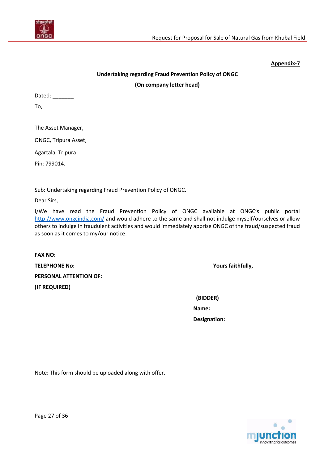

#### **Appendix-7**

# **Undertaking regarding Fraud Prevention Policy of ONGC (On company letter head)**

Dated: \_\_\_\_\_\_\_\_

To,

The Asset Manager,

ONGC, Tripura Asset,

Agartala, Tripura

Pin: 799014.

Sub: Undertaking regarding Fraud Prevention Policy of ONGC.

Dear Sirs,

I/We have read the Fraud Prevention Policy of ONGC available at ONGC's public portal <http://www.ongcindia.com/> and would adhere to the same and shall not indulge myself/ourselves or allow others to indulge in fraudulent activities and would immediately apprise ONGC of the fraud/suspected fraud as soon as it comes to my/our notice.

**FAX NO: TELEPHONE No: Yours faithfully, PERSONAL ATTENTION OF: (IF REQUIRED)**

 **(BIDDER) Name:**

 **Designation:**

<span id="page-26-0"></span>Note: This form should be uploaded along with offer.

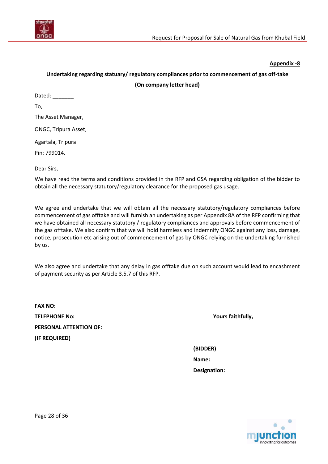

#### **Appendix -8**

# **Undertaking regarding statuary/ regulatory compliances prior to commencement of gas off-take (On company letter head)**

| Dated: |
|--------|
|--------|

To,

The Asset Manager,

ONGC, Tripura Asset,

Agartala, Tripura

Pin: 799014.

Dear Sirs,

We have read the terms and conditions provided in the RFP and GSA regarding obligation of the bidder to obtain all the necessary statutory/regulatory clearance for the proposed gas usage.

We agree and undertake that we will obtain all the necessary statutory/regulatory compliances before commencement of gas offtake and will furnish an undertaking as per Appendix 8A of the RFP confirming that we have obtained all necessary statutory / regulatory compliances and approvals before commencement of the gas offtake. We also confirm that we will hold harmless and indemnify ONGC against any loss, damage, notice, prosecution etc arising out of commencement of gas by ONGC relying on the undertaking furnished by us.

We also agree and undertake that any delay in gas offtake due on such account would lead to encashment of payment security as per Article [3.5.7](#page-6-0) of this RFP.

**FAX NO: TELEPHONE No: Yours faithfully, PERSONAL ATTENTION OF: (IF REQUIRED)**

**(BIDDER) Name: Designation:**



Page 28 of 36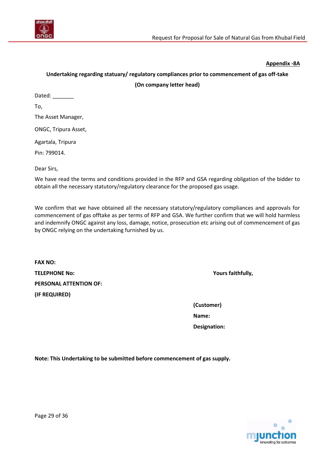

#### **Appendix -8A**

## <span id="page-28-0"></span>**Undertaking regarding statuary/ regulatory compliances prior to commencement of gas off-take (On company letter head)**

| Dated: |  |
|--------|--|
|--------|--|

To,

The Asset Manager,

ONGC, Tripura Asset,

Agartala, Tripura

Pin: 799014.

Dear Sirs,

We have read the terms and conditions provided in the RFP and GSA regarding obligation of the bidder to obtain all the necessary statutory/regulatory clearance for the proposed gas usage.

We confirm that we have obtained all the necessary statutory/regulatory compliances and approvals for commencement of gas offtake as per terms of RFP and GSA. We further confirm that we will hold harmless and indemnify ONGC against any loss, damage, notice, prosecution etc arising out of commencement of gas by ONGC relying on the undertaking furnished by us.

| <b>FAX NO:</b>                |
|-------------------------------|
| <b>TELEPHONE No:</b>          |
| <b>PERSONAL ATTENTION OF:</b> |
| (IF REQUIRED)                 |

**Yours faithfully,** 

**(Customer) Name: Designation:**

**Note: This Undertaking to be submitted before commencement of gas supply.**

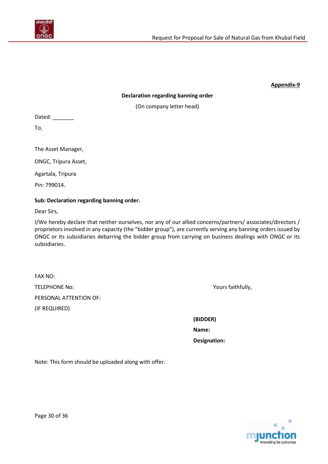

#### **Appendix-9**

#### **Declaration regarding banning order**

(On company letter head)

<span id="page-29-0"></span>Dated: \_\_\_\_\_\_\_\_

To,

The Asset Manager,

ONGC, Tripura Asset,

Agartala, Tripura

Pin: 799014.

#### **Sub: Declaration regarding banning order.**

Dear Sirs,

I/We hereby declare that neither ourselves, nor any of our allied concerns/partners/ associates/directors / proprietors involved in any capacity (the "bidder group"), are currently serving any banning orders issued by ONGC or its subsidiaries debarring the bidder group from carrying on business dealings with ONGC or its subsidiaries.

| <b>FAX NO:</b>         |
|------------------------|
| <b>TELEPHONE No:</b>   |
| PERSONAL ATTENTION OF: |
| (IF REQUIRED)          |

Yours faithfully,

**(BIDDER) Name: Designation:**

Note: This form should be uploaded along with offer.

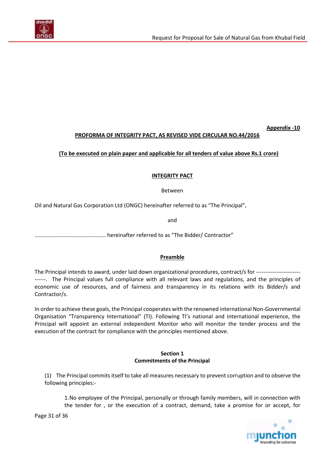

**Appendix -10**

### **PROFORMA OF INTEGRITY PACT, AS REVISED VIDE CIRCULAR NO.44/2016**

#### <span id="page-30-0"></span>**(To be executed on plain paper and applicable for all tenders of value above Rs.1 crore)**

#### **INTEGRITY PACT**

Between

Oil and Natural Gas Corporation Ltd (ONGC) hereinafter referred to as "The Principal",

and

…………………………………………… hereinafter referred to as "The Bidder/ Contractor"

#### **Preamble**

The Principal intends to award, under laid down organizational procedures, contract/s for -------------------------. The Principal values full compliance with all relevant laws and regulations, and the principles of economic use of resources, and of fairness and transparency in its relations with its Bidder/s and Contractor/s.

In order to achieve these goals, the Principal cooperates with the renowned international Non-Governmental Organisation "Transparency International" (TI). Following TI's national and international experience, the Principal will appoint an external independent Monitor who will monitor the tender process and the execution of the contract for compliance with the principles mentioned above.

#### **Section 1 Commitments of the Principal**

(1) The Principal commits itself to take all measures necessary to prevent corruption and to observe the following principles:-

1.No employee of the Principal, personally or through family members, will in connection with the tender for , or the execution of a contract, demand, take a promise for or accept, for

Page 31 of 36

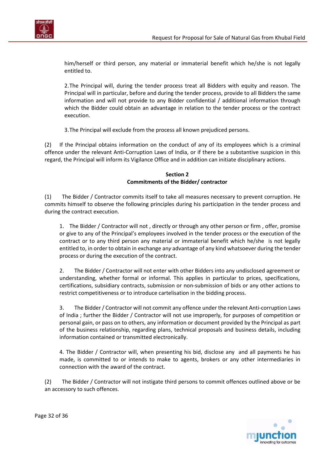

him/herself or third person, any material or immaterial benefit which he/she is not legally entitled to.

2.The Principal will, during the tender process treat all Bidders with equity and reason. The Principal will in particular, before and during the tender process, provide to all Bidders the same information and will not provide to any Bidder confidential / additional information through which the Bidder could obtain an advantage in relation to the tender process or the contract execution.

3.The Principal will exclude from the process all known prejudiced persons.

(2) If the Principal obtains information on the conduct of any of its employees which is a criminal offence under the relevant Anti-Corruption Laws of India, or if there be a substantive suspicion in this regard, the Principal will inform its Vigilance Office and in addition can initiate disciplinary actions.

#### **Section 2 Commitments of the Bidder/ contractor**

(1) The Bidder / Contractor commits itself to take all measures necessary to prevent corruption. He commits himself to observe the following principles during his participation in the tender process and during the contract execution.

1. The Bidder / Contractor will not , directly or through any other person or firm , offer, promise or give to any of the Principal's employees involved in the tender process or the execution of the contract or to any third person any material or immaterial benefit which he/she is not legally entitled to, in order to obtain in exchange an*y* advantage of any kind whatsoever during the tender process or during the execution of the contract.

2. The Bidder / Contractor will not enter with other Bidders into any undisclosed agreement or understanding, whether formal or informal. This applies in particular to prices, specifications, certifications, subsidiary contracts, submission or non-submission of bids or any other actions to restrict competitiveness or to introduce cartelisation in the bidding process.

3. The Bidder / Contractor will not commit any offence under the relevant Anti-corruption Laws of India ; further the Bidder / Contractor will not use improperly, for purposes of competition or personal gain, or pass on to others, any information or document provided by the Principal as part of the business relationship, regarding plans, technical proposals and business details, including information contained or transmitted electronically.

4. The Bidder / Contracto*r* will, when presenting his bid, disclose any and all payments he has made, is committed to or intends to make to agents, brokers or any other intermediaries in connection with the award of the contract.

(2) The Bidder / Contractor will not instigate third persons to commit offences outlined above or be an accessory to such offences.



Page 32 of 36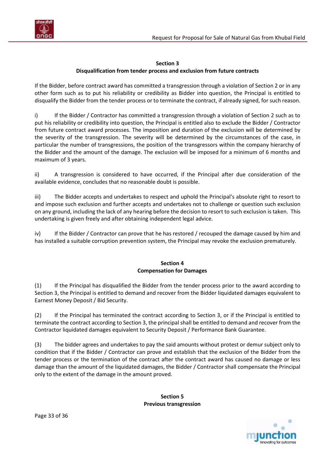

#### **Section 3**

#### **Disqualification from tender process and exclusion from future contracts**

If the Bidder, before contract award has committed a transgression through a violation of Section 2 or in any other form such as to put his reliability or credibility as Bidder into question, the Principal is entitled to disqualify the Bidder from the tender process or to terminate the contract, if already signed, for such reason.

i) If the Bidder / Contractor has committed a transgression through a violation of Section 2 such as to put his reliability or credibility into question, the Principal is entitled also to exclude the Bidder / Contractor from future contract award processes. The imposition and duration of the exclusion will be determined by the severity of the transgression. The severity will be dete*r*mined by the circumstances of the case, in particular the number of transgressions, the position of the transgressors within the company hierarchy of the Bidder and the amount of the damage. The exclusion will be imposed for a minimum of 6 months and maximum of 3 years.

ii) A transgression is considered to have occurred, if the Principal after due consideration of the available evidence, concludes that no reasonable doubt is possible.

iii) The Bidder accepts and undertakes to respect and uphold the Principal's absolute right to resort to and impose such exclusion and further accepts and undertakes not to challenge or question such exclusion on any ground, including the lack of any hearing before the decision to resort to such exclusion is taken. This undertaking is given freely and after obtaining independent legal advice.

iv) If the Bidder / Contractor can prove that he has restored / recouped the damage caused by him and has installed a suitable corruption prevention system, the Principal may revoke the exclusion prematurely.

#### **Section 4 Compensation for Damages**

(1) If the Principal has disqualified the Bidder from the tender process prior to the award according to Section 3, the Principal is entitled to demand and recover from the Bidder liquidated damages equivalent to Earnest Money Deposit / Bid Security.

(2) If the Principal has terminated the contract according to Section 3, or if the Principal is entitled to terminate the contract according to Section 3, the principal shall be entitled to demand and recover from the Contractor liquidated damages equivalent to Security Deposit / Performance Bank Guarantee.

(3) The bidder agrees and undertakes to pay the said amounts without protest or demur subject only to condition that if the Bidder / Contractor can prove and establish that the exclusion of the Bidder from the tender process or the termination of the contract after the contract award has caused no damage or less damage than the amount of the liquidated damages, the Bidder / Contractor shall compensate the Principal only to the extent of the damage in the amount proved.

> **Section 5 Previous transgression**

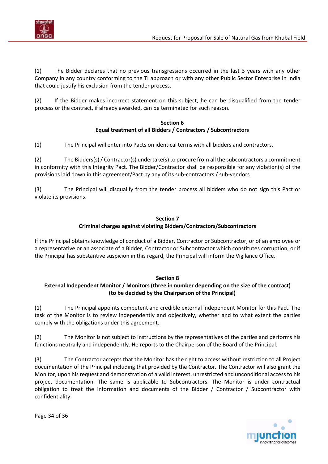

(1) The Bidder declares that no previous transgressions occurred in the last 3 years with any other Company in any country conforming to the TI approach or with any other Public Sector Enterprise in India that could justify his exclusion from the tender process.

(2) If the Bidder makes incorrect statement on this subject, he can be disqualified from the tender process or the contract, if already awarded, can be terminated for such reason.

#### **Section 6 Equal treatment of all Bidders / Contractors / Subcontractors**

(1) The Principal will enter into Pacts on identical terms with all bidders and contractors.

(2) The Bidders(s) / Contractor(s) undertake(s) to procure from all the subcontractors a commitment in conformity with this Integrity Pact. The Bidder/Contractor shall be responsible for any violation(s) of the provisions laid down in this agreement/Pact by any of its sub-contractors / sub-vendors.

(3) The Principal will disqualify from the tender process all bidders who do not sign this Pact or violate its provisions.

### **Section 7 Criminal charges against violating Bidders/Contractors/Subcontractors**

If the Principal obtains knowledge of conduct of a Bidder, Contractor or Subcontractor, or of an employee or a representative or an associate of a Bidder, Contractor or Subcontractor which constitutes corruption, or if the Principal has substantive suspicion in this regard, the Principal will inform the Vigilance Office.

#### **Section 8**

### **External Independent Monitor / Monitors (three in number depending on the size of the contract) (to be decided by the Chairperson of the Principal)**

(1) The Principal appoints competent and credible external independent Monitor for this Pact. The task of the Monitor is to review independently and objectively, whether and to what extent the parties comply with the obligations under this agreement.

(2) The Monitor is not subject to instructions by the representatives of the parties and performs his functions neutrally and independently. He reports to the Chairperson of the Board of the Principal.

(3) The Contractor accepts that the Monitor has the right to access without restriction to all Project documentation of the Principal including that provided by the Contractor*.* The Contractor will also grant the Monitor, upon his request and demonstration of a valid interest, unrestricted and unconditional access to his project documentation. The same is applicable to Subcontractors. The Monitor is under contractual obligation to treat the information and documents of the Bidder / Contractor / Subcontractor with confidentiality.

novating for outcomes

Page 34 of 36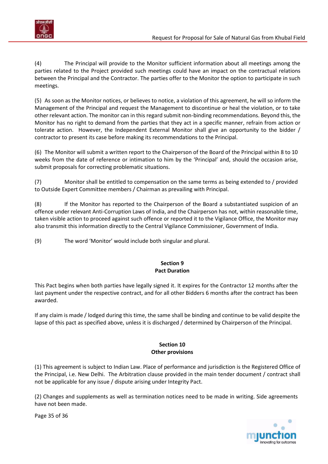

(4) The Principal will provide to the Monitor sufficient information about all meetings among the parties related to the Project provided such meetings could have an impact on the contractual relations between the Principal and the Contractor. The parties offer to the Monitor the option to participate in such meetings.

(5) As soon as the Monitor notices, or believes to notice, a violation of this agreement, he will so inform the Management of the Principal and request the Management to discontinue or heal the violation, or to take other relevant action. The monitor can in this regard submit non-binding recommendations. Beyond this, the Monitor has no right to demand from the parties that they act in a specific manner, refrain from action or tolerate action. However, the Independent External Monitor shall give an opportunity to the bidder / contractor to present its case before making its recommendations to the Principal.

(6) The Monitor will submit a written report to the Chairperson of the Board of the Principal within 8 to 10 weeks from the date of reference or intimation to him by the 'Principal' and, should the occasion arise, submit proposals for correcting problematic situations.

(7) Monitor shall be entitled to compensation on the same terms as being extended to / provided to Outside Expert Committee members / Chairman as prevailing with Principal.

(8) If the Monitor has reported to the Chairperson of the Board a substantiated suspicion of an offence under relevant Anti-Corruption Laws of India, and the Chairperson has not, within reasonable time, taken visible action to proceed against such offence or reported it to the Vigilance Office, the Monitor may also transmit this information directly to the Central Vigilance Commissioner, Government of India.

(9) The word 'Monitor' would include both singular and plural.

#### **Section 9 Pact Duration**

This Pact begins when both parties have legally signed it. It expires for the Contractor 12 months after the last payment under the respective contract, and for all other Bidders 6 months after the contract has been awarded.

If any claim is made / lodged during this time, the same shall be binding and continue to be valid despite the lapse of this pact as specified above, unless it is discharged / determined by Chairperson of the Principal.

#### **Section 10 Other provisions**

(1) This agreement is subject to Indian Law. Place of performance and jurisdiction is the Registered Office of the Principal, i.e. New Delhi.The Arbitration clause provided in the main tender document / contract shall not be applicable for any issue / dispute arising under Integrity Pact.

(2) Changes and supplements as well as termination notices need to be made in writing. Side agreements have not been made.

Page 35 of 36